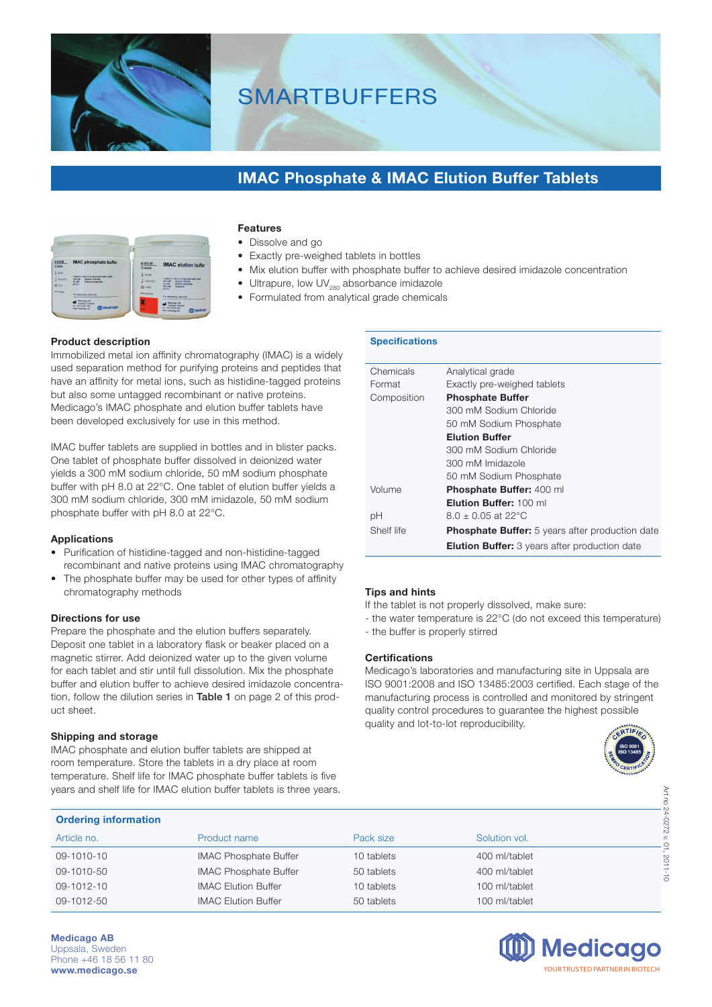

# **SMARTBUFFERS**

### **IMAC Phosphate & IMAC Elution Buffer Tablets**

|                                                     | <b>STATISTICS</b>                                                                                                              |                                                         | an a                                                                                                                                                     |
|-----------------------------------------------------|--------------------------------------------------------------------------------------------------------------------------------|---------------------------------------------------------|----------------------------------------------------------------------------------------------------------------------------------------------------------|
| 8-109-50<br>50 tablets                              | <b>IMAC</b> phosphate buffer                                                                                                   | 09-1012-50<br>50 tablets                                | <b>IMAC</b> elution buffer                                                                                                                               |
| $-288$<br><b>REOTO</b><br>Winner<br><b>WE NIMMY</b> | 1 tablet in 400 ml of delonized water veids.<br>$X22 - M$<br><b>System related</b><br>50 mM<br>Sodium phosphate<br><b>CHES</b> | $2x \leftrightarrow x$<br>42016-2510<br><b>GOT DENS</b> | 1 tablet in 130 ml of deichioed water yees<br>300 PM<br>Sodium chlonde<br><b>AD HAA</b><br>Sodium phosphate<br>300 mM<br><b>Imidazine</b><br><b>OHRO</b> |
|                                                     | For laboratory use only<br>Medicago AR<br>Uppeals, Sweden<br>301 +401 18 5/01 1/02<br><b>IIII</b> Medicago<br>mey medicago se: | <b>WOF IN SIMPLIFY</b>                                  | For laboratory use only.<br>Medicago AB<br>Uppsale, Sweden<br>NY +45 18 561180<br>mm Medicogo<br><b>MVA redicaco se</b>                                  |

#### **Features**

- Dissolve and go
- Exactly pre-weighed tablets in bottles
- Mix elution buffer with phosphate buffer to achieve desired imidazole concentration
- Ultrapure, low  $UV_{280}$  absorbance imidazole
- Formulated from analytical grade chemicals

#### **Product description**

Immobilized metal ion affinity chromatography (IMAC) is a widely used separation method for purifying proteins and peptides that have an affinity for metal ions, such as histidine-tagged proteins but also some untagged recombinant or native proteins. Medicago's IMAC phosphate and elution buffer tablets have been developed exclusively for use in this method.

IMAC buffer tablets are supplied in bottles and in blister packs. One tablet of phosphate buffer dissolved in deionized water yields a 300 mM sodium chloride, 50 mM sodium phosphate buffer with pH 8.0 at 22°C. One tablet of elution buffer yields a 300 mM sodium chloride, 300 mM imidazole, 50 mM sodium phosphate buffer with pH 8.0 at 22°C.

#### **Applications**

- Purification of histidine-tagged and non-histidine-tagged recombinant and native proteins using IMAC chromatography
- The phosphate buffer may be used for other types of affinity chromatography methods

#### **Directions for use**

Prepare the phosphate and the elution buffers separately. Deposit one tablet in a laboratory flask or beaker placed on a magnetic stirrer. Add deionized water up to the given volume for each tablet and stir until full dissolution. Mix the phosphate buffer and elution buffer to achieve desired imidazole concentration, follow the dilution series in Table 1 on page 2 of this product sheet.

#### **Shipping and storage**

IMAC phosphate and elution buffer tablets are shipped at room temperature. Store the tablets in a dry place at room temperature. Shelf life for IMAC phosphate buffer tablets is five years and shelf life for IMAC elution buffer tablets is three years.

#### **Specifications**

| Chemicals   | Analytical grade                                       |
|-------------|--------------------------------------------------------|
| Format      | Exactly pre-weighed tablets                            |
| Composition | <b>Phosphate Buffer</b>                                |
|             | 300 mM Sodium Chloride                                 |
|             | 50 mM Sodium Phosphate                                 |
|             | <b>Elution Buffer</b>                                  |
|             | 300 mM Sodium Chloride                                 |
|             | 300 mM Imidazole                                       |
|             | 50 mM Sodium Phosphate                                 |
| Volume      | Phosphate Buffer: 400 ml                               |
|             | Elution Buffer: 100 ml                                 |
| рH          | $8.0 + 0.05$ at 22 °C                                  |
| Shelf life  | <b>Phosphate Buffer:</b> 5 years after production date |
|             | <b>Elution Buffer:</b> 3 years after production date   |

#### **Tips and hints**

If the tablet is not properly dissolved, make sure:

- the water temperature is 22°C (do not exceed this temperature)
- the buffer is properly stirred

#### **Certifications**

Medicago's laboratories and manufacturing site in Uppsala are ISO 9001:2008 and ISO 13485:2003 certified. Each stage of the manufacturing process is controlled and monitored by stringent quality control procedures to guarantee the highest possible quality and lot-to-lot reproducibility.



| years and shelf life for IMAC elution buffer tablets is three years. |                              |            |               |         |  |
|----------------------------------------------------------------------|------------------------------|------------|---------------|---------|--|
| <b>Ordering information</b>                                          |                              |            |               |         |  |
| Article no.                                                          | Product name                 | Pack size  | Solution vol. | 2220    |  |
| 09-1010-10                                                           | <b>IMAC Phosphate Buffer</b> | 10 tablets | 400 ml/tablet | 201     |  |
| 09-1010-50                                                           | <b>IMAC Phosphate Buffer</b> | 50 tablets | 400 ml/tablet |         |  |
| 09-1012-10                                                           | <b>IMAC Elution Buffer</b>   | 10 tablets | 100 ml/tablet | $\circ$ |  |
| 09-1012-50                                                           | <b>IMAC Elution Buffer</b>   | 50 tablets | 100 ml/tablet |         |  |

**Medicago AB** Uppsala, Sweden Phone +46 18 56 11 80 **www.medicago.se**